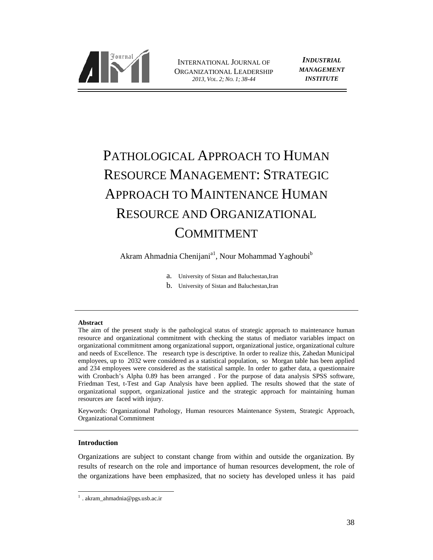

INTERNATIONAL JOURNAL OF ORGANIZATIONAL LEADERSHIP *2013, VOL. 2; NO. 1; 38-44*

*INDUSTRIAL MANAGEMENT INSTITUTE*

# PATHOLOGICAL APPROACH TO HUMAN RESOURCE MANAGEMENT: STRATEGIC APPROACH TO MAINTENANCE HUMAN RESOURCE AND ORGANIZATIONAL COMMITMENT

Akram Ahmadnia Chenijani<sup>a1</sup>, Nour Mohammad Yaghoubi<sup>b</sup>

- a. University of Sistan and Baluchestan,Iran
- b. University of Sistan and Baluchestan,Iran

#### **Abstract**

The aim of the present study is the pathological status of strategic approach to maintenance human resource and organizational commitment with checking the status of mediator variables impact on organizational commitment among organizational support, organizational justice, organizational culture and needs of Excellence. The research type is descriptive. In order to realize this, Zahedan Municipal employees, up to 2032 were considered as a statistical population, so Morgan table has been applied and 234 employees were considered as the statistical sample. In order to gather data, a questionnaire with Cronbach's Alpha 0.89 has been arranged . For the purpose of data analysis SPSS software, Friedman Test, t-Test and Gap Analysis have been applied. The results showed that the state of organizational support, organizational justice and the strategic approach for maintaining human resources are faced with injury.

Keywords: Organizational Pathology, Human resources Maintenance System, Strategic Approach, Organizational Commitment

## **Introduction**

 $\overline{a}$ 

Organizations are subject to constant change from within and outside the organization. By results of research on the role and importance of human resources development, the role of the organizations have been emphasized, that no society has developed unless it has paid

 $1$ . akram\_ahmadnia@pgs.usb.ac.ir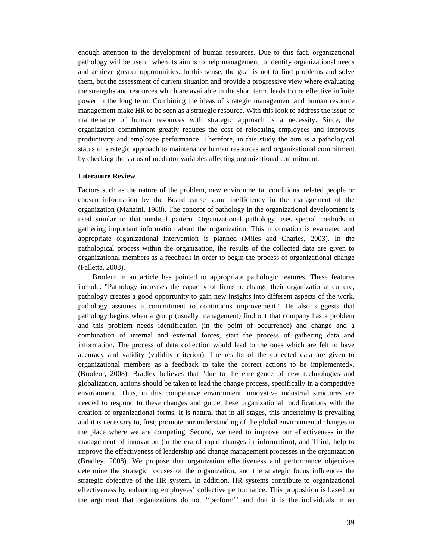enough attention to the development of human resources. Due to this fact, organizational pathology will be useful when its aim is to help management to identify organizational needs and achieve greater opportunities. In this sense, the goal is not to find problems and solve them, but the assessment of current situation and provide a progressive view where evaluating the strengths and resources which are available in the short term, leads to the effective infinite power in the long term. Combining the ideas of strategic management and human resource management make HR to be seen as a strategic resource. With this look to address the issue of maintenance of human resources with strategic approach is a necessity. Since, the organization commitment greatly reduces the cost of relocating employees and improves productivity and employee performance. Therefore, in this study the aim is a pathological status of strategic approach to maintenance human resources and organizational commitment by checking the status of mediator variables affecting organizational commitment.

#### **Literature Review**

Factors such as the nature of the problem, new environmental conditions, related people or chosen information by the Board cause some inefficiency in the management of the organization (Manzini, 1988). The concept of pathology in the organizational development is used similar to that medical pattern. Organizational pathology uses special methods in gathering important information about the organization. This information is evaluated and appropriate organizational intervention is planned (Miles and Charles, 2003). In the pathological process within the organization, the results of the collected data are given to organizational members as a feedback in order to begin the process of organizational change (Falletta, 2008).

Brodeur in an article has pointed to appropriate pathologic features. These features include: "Pathology increases the capacity of firms to change their organizational culture; pathology creates a good opportunity to gain new insights into different aspects of the work, pathology assumes a commitment to continuous improvement." He also suggests that pathology begins when a group (usually management) find out that company has a problem and this problem needs identification (in the point of occurrence) and change and a combination of internal and external forces, start the process of gathering data and information. The process of data collection would lead to the ones which are felt to have accuracy and validity (validity criterion). The results of the collected data are given to organizational members as a feedback to take the correct actions to be implemented». (Brodeur, 2008). Bradley believes that "due to the emergence of new technologies and globalization, actions should be taken to lead the change process, specifically in a competitive environment. Thus, in this competitive environment, innovative industrial structures are needed to respond to these changes and guide these organizational modifications with the creation of organizational forms. It is natural that in all stages, this uncertainty is prevailing and it is necessary to, first; promote our understanding of the global environmental changes in the place where we are competing. Second, we need to improve our effectiveness in the management of innovation (in the era of rapid changes in information), and Third, help to improve the effectiveness of leadership and change management processes in the organization (Bradley, 2008). We propose that organization effectiveness and performance objectives determine the strategic focuses of the organization, and the strategic focus influences the strategic objective of the HR system. In addition, HR systems contribute to organizational effectiveness by enhancing employees' collective performance. This proposition is based on the argument that organizations do not ''perform'' and that it is the individuals in an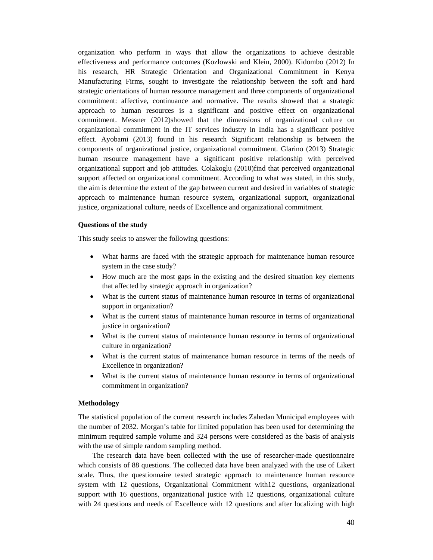organization who perform in ways that allow the organizations to achieve desirable effectiveness and performance outcomes (Kozlowski and Klein, 2000). Kidombo (2012) In his research, HR Strategic Orientation and Organizational Commitment in Kenya Manufacturing Firms, sought to investigate the relationship between the soft and hard strategic orientations of human resource management and three components of organizational commitment: affective, continuance and normative. The results showed that a strategic approach to human resources is a significant and positive effect on organizational commitment. Messner (2012)showed that the dimensions of organizational culture on organizational commitment in the IT services industry in India has a significant positive effect. Ayobami (2013) found in his research Significant relationship is between the components of organizational justice, organizational commitment. Glarino (2013) Strategic human resource management have a significant positive relationship with perceived organizational support and job attitudes. Colakoglu (2010)find that perceived organizational support affected on organizational commitment. According to what was stated, in this study, the aim is determine the extent of the gap between current and desired in variables of strategic approach to maintenance human resource system, organizational support, organizational justice, organizational culture, needs of Excellence and organizational commitment.

## **Questions of the study**

This study seeks to answer the following questions:

- What harms are faced with the strategic approach for maintenance human resource system in the case study?
- How much are the most gaps in the existing and the desired situation key elements that affected by strategic approach in organization?
- What is the current status of maintenance human resource in terms of organizational support in organization?
- What is the current status of maintenance human resource in terms of organizational justice in organization?
- What is the current status of maintenance human resource in terms of organizational culture in organization?
- What is the current status of maintenance human resource in terms of the needs of Excellence in organization?
- What is the current status of maintenance human resource in terms of organizational commitment in organization?

#### **Methodology**

The statistical population of the current research includes Zahedan Municipal employees with the number of 2032. Morgan's table for limited population has been used for determining the minimum required sample volume and 324 persons were considered as the basis of analysis with the use of simple random sampling method.

The research data have been collected with the use of researcher-made questionnaire which consists of 88 questions. The collected data have been analyzed with the use of Likert scale. Thus, the questionnaire tested strategic approach to maintenance human resource system with 12 questions, Organizational Commitment with12 questions, organizational support with 16 questions, organizational justice with 12 questions, organizational culture with 24 questions and needs of Excellence with 12 questions and after localizing with high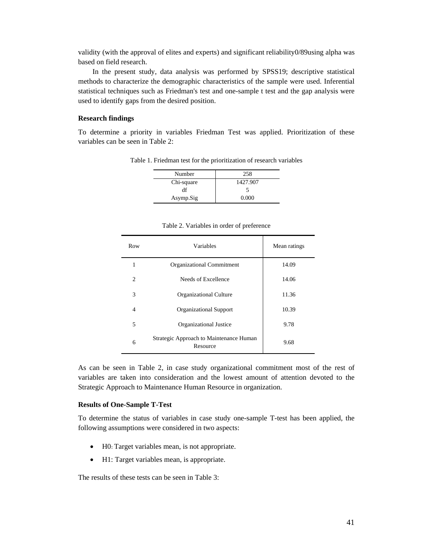validity (with the approval of elites and experts) and significant reliability0/89using alpha was based on field research.

In the present study, data analysis was performed by SPSS19; descriptive statistical methods to characterize the demographic characteristics of the sample were used. Inferential statistical techniques such as Friedman's test and one-sample t test and the gap analysis were used to identify gaps from the desired position.

## **Research findings**

To determine a priority in variables Friedman Test was applied. Prioritization of these variables can be seen in Table 2:

Table 1. Friedman test for the prioritization of research variables

| Number     | 258      |
|------------|----------|
| Chi-square | 1427.907 |
| df         |          |
| Asymp.Sig  | 0.000    |

Row Variables Mean ratings 1 Organizational Commitment 14.09 2 Needs of Excellence 14.06 3 Organizational Culture 11.36 4 Organizational Support 10.39 5 Organizational Justice 9.78 Strategic Approach to Maintenance Human Resource 10 and Resource 1.

|  |  | Table 2. Variables in order of preference |
|--|--|-------------------------------------------|
|  |  |                                           |

As can be seen in Table 2, in case study organizational commitment most of the rest of variables are taken into consideration and the lowest amount of attention devoted to the Strategic Approach to Maintenance Human Resource in organization.

#### **Results of One-Sample T-Test**

To determine the status of variables in case study one-sample T-test has been applied, the following assumptions were considered in two aspects:

- H0: Target variables mean, is not appropriate.
- H1: Target variables mean, is appropriate.

The results of these tests can be seen in Table 3: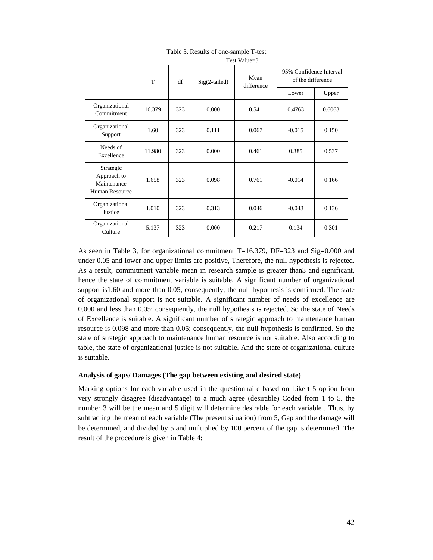|                                                                  | Test Value=3                     |            |                                              |       |          |        |
|------------------------------------------------------------------|----------------------------------|------------|----------------------------------------------|-------|----------|--------|
|                                                                  | Mean<br>T<br>df<br>Sig(2-tailed) | difference | 95% Confidence Interval<br>of the difference |       |          |        |
|                                                                  |                                  |            |                                              |       | Lower    | Upper  |
| Organizational<br>Commitment                                     | 16.379                           | 323        | 0.000                                        | 0.541 | 0.4763   | 0.6063 |
| Organizational<br>Support                                        | 1.60                             | 323        | 0.111                                        | 0.067 | $-0.015$ | 0.150  |
| Needs of<br>Excellence                                           | 11.980                           | 323        | 0.000                                        | 0.461 | 0.385    | 0.537  |
| Strategic<br>Approach to<br>Maintenance<br><b>Human Resource</b> | 1.658                            | 323        | 0.098                                        | 0.761 | $-0.014$ | 0.166  |
| Organizational<br>Justice                                        | 1.010                            | 323        | 0.313                                        | 0.046 | $-0.043$ | 0.136  |
| Organizational<br>Culture                                        | 5.137                            | 323        | 0.000                                        | 0.217 | 0.134    | 0.301  |

Table 3. Results of one-sample T-test

As seen in Table 3, for organizational commitment T=16.379, DF=323 and Sig=0.000 and under 0.05 and lower and upper limits are positive, Therefore, the null hypothesis is rejected. As a result, commitment variable mean in research sample is greater than3 and significant, hence the state of commitment variable is suitable. A significant number of organizational support is1.60 and more than 0.05, consequently, the null hypothesis is confirmed. The state of organizational support is not suitable. A significant number of needs of excellence are 0.000 and less than 0.05; consequently, the null hypothesis is rejected. So the state of Needs of Excellence is suitable. A significant number of strategic approach to maintenance human resource is 0.098 and more than 0.05; consequently, the null hypothesis is confirmed. So the state of strategic approach to maintenance human resource is not suitable. Also according to table, the state of organizational justice is not suitable. And the state of organizational culture is suitable.

## **Analysis of gaps/ Damages (The gap between existing and desired state)**

Marking options for each variable used in the questionnaire based on Likert 5 option from very strongly disagree (disadvantage) to a much agree (desirable) Coded from 1 to 5. the number 3 will be the mean and 5 digit will determine desirable for each variable . Thus, by subtracting the mean of each variable (The present situation) from 5, Gap and the damage will be determined, and divided by 5 and multiplied by 100 percent of the gap is determined. The result of the procedure is given in Table 4: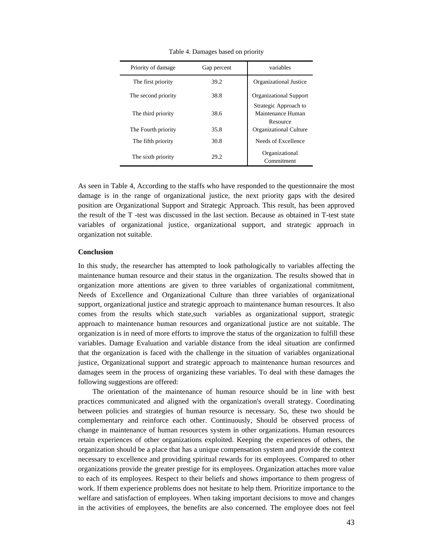| Priority of damage  | Gap percent | variables                                              |
|---------------------|-------------|--------------------------------------------------------|
| The first priority  | 39.2        | Organizational Justice                                 |
| The second priority | 38.8        | <b>Organizational Support</b>                          |
| The third priority  | 38.6        | Strategic Approach to<br>Maintenance Human<br>Resource |
| The Fourth priority | 35.8        | <b>Organizational Culture</b>                          |
| The fifth priority  | 30.8        | Needs of Excellence                                    |
| The sixth priority  | 29.2        | Organizational<br>Commitment                           |

Table 4. Damages based on priority

As seen in Table 4, According to the staffs who have responded to the questionnaire the most damage is in the range of organizational justice, the next priority gaps with the desired position are Organizational Support and Strategic Approach. This result, has been approved the result of the T -test was discussed in the last section. Because as obtained in T-test state variables of organizational justice, organizational support, and strategic approach in organization not suitable.

## **Conclusion**

In this study, the researcher has attempted to look pathologically to variables affecting the maintenance human resource and their status in the organization. The results showed that in organization more attentions are given to three variables of organizational commitment, Needs of Excellence and Organizational Culture than three variables of organizational support, organizational justice and strategic approach to maintenance human resources. It also comes from the results which state,such variables as organizational support, strategic approach to maintenance human resources and organizational justice are not suitable. The organization is in need of more efforts to improve the status of the organization to fulfill these variables. Damage Evaluation and variable distance from the ideal situation are confirmed that the organization is faced with the challenge in the situation of variables organizational justice, Organizational support and strategic approach to maintenance human resources and damages seem in the process of organizing these variables. To deal with these damages the following suggestions are offered:

The orientation of the maintenance of human resource should be in line with best practices communicated and aligned with the organization's overall strategy. Coordinating between policies and strategies of human resource is necessary. So, these two should be complementary and reinforce each other. Continuously, Should be observed process of change in maintenance of human resources system in other organizations. Human resources retain experiences of other organizations exploited. Keeping the experiences of others, the organization should be a place that has a unique compensation system and provide the context necessary to excellence and providing spiritual rewards for its employees. Compared to other organizations provide the greater prestige for its employees. Organization attaches more value to each of its employees. Respect to their beliefs and shows importance to them progress of work. If them experience problems does not hesitate to help them. Prioritize importance to the welfare and satisfaction of employees. When taking important decisions to move and changes in the activities of employees, the benefits are also concerned. The employee does not feel